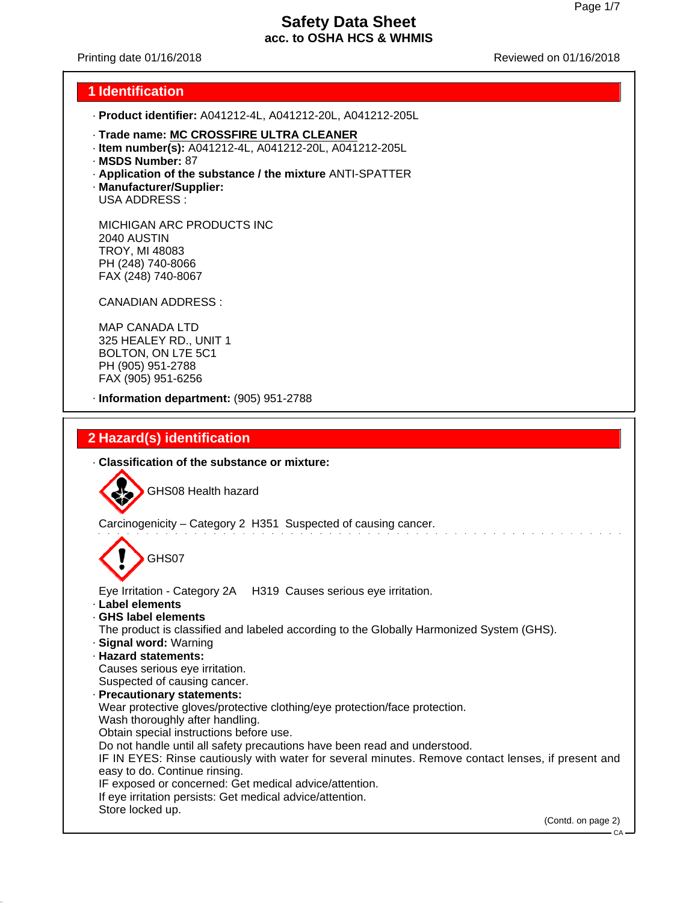Printing date 01/16/2018 Reviewed on 01/16/2018

#### **1 Identification**

- · **Product identifier:** A041212-4L, A041212-20L, A041212-205L
- · **Trade name: MC CROSSFIRE ULTRA CLEANER**
- · **Item number(s):** A041212-4L, A041212-20L, A041212-205L
- · **MSDS Number:** 87
- · **Application of the substance / the mixture** ANTI-SPATTER
- · **Manufacturer/Supplier:** USA ADDRESS :

MICHIGAN ARC PRODUCTS INC 2040 AUSTIN TROY, MI 48083 PH (248) 740-8066 FAX (248) 740-8067

CANADIAN ADDRESS :

MAP CANADA LTD 325 HEALEY RD., UNIT 1 BOLTON, ON L7E 5C1 PH (905) 951-2788 FAX (905) 951-6256

· **Information department:** (905) 951-2788

# **2 Hazard(s) identification**

· **Classification of the substance or mixture:**

GHS08 Health hazard

Carcinogenicity – Category 2 H351 Suspected of causing cancer.

GHS07

Eye Irritation - Category 2A H319 Causes serious eye irritation.

- · **Label elements**
- · **GHS label elements**

The product is classified and labeled according to the Globally Harmonized System (GHS).

- · **Signal word:** Warning
- · **Hazard statements:**

Causes serious eye irritation. Suspected of causing cancer.

· **Precautionary statements:**

Wear protective gloves/protective clothing/eye protection/face protection.

Wash thoroughly after handling.

Obtain special instructions before use.

Do not handle until all safety precautions have been read and understood.

IF IN EYES: Rinse cautiously with water for several minutes. Remove contact lenses, if present and easy to do. Continue rinsing.

IF exposed or concerned: Get medical advice/attention.

If eye irritation persists: Get medical advice/attention.

Store locked up.

(Contd. on page 2)

CA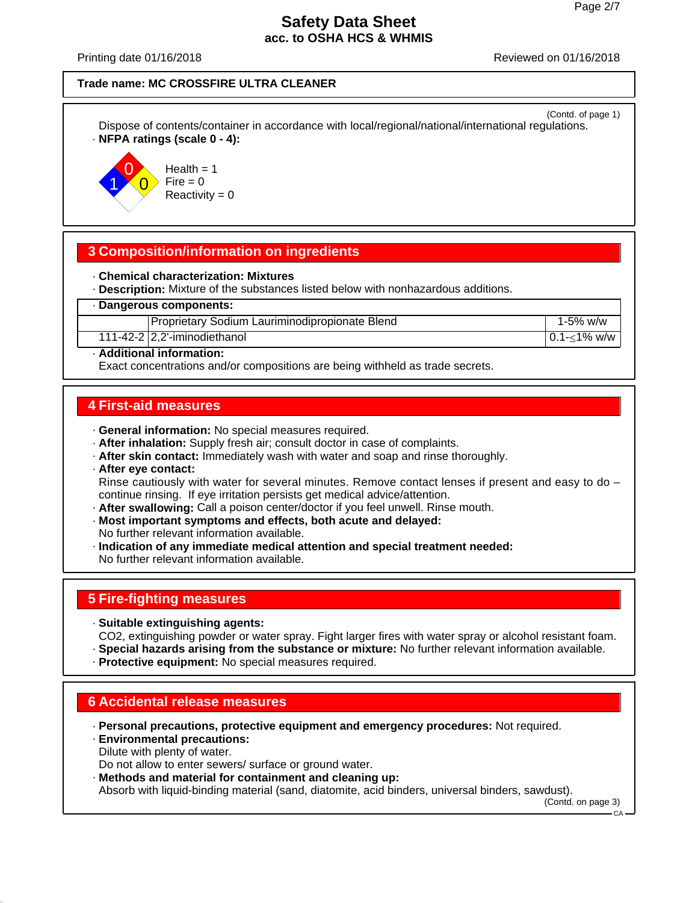Printing date 01/16/2018 Reviewed on 01/16/2018

#### **Trade name: MC CROSSFIRE ULTRA CLEANER**

(Contd. of page 1) Dispose of contents/container in accordance with local/regional/national/international regulations. · **NFPA ratings (scale 0 - 4):**



 $Health = 1$  $Fire = 0$  $Reactivity = 0$ 

## **3 Composition/information on ingredients**

· **Chemical characterization: Mixtures**

· **Description:** Mixture of the substances listed below with nonhazardous additions.

· **Dangerous components:**

Proprietary Sodium Lauriminodipropionate Blend 1-5% w/w

111-42-2 2,2'-iminodiethanol 0.1-1% w/w

· **Additional information:**

Exact concentrations and/or compositions are being withheld as trade secrets.

### **4 First-aid measures**

- · **General information:** No special measures required.
- · **After inhalation:** Supply fresh air; consult doctor in case of complaints.
- · **After skin contact:** Immediately wash with water and soap and rinse thoroughly.
- · **After eye contact:** Rinse cautiously with water for several minutes. Remove contact lenses if present and easy to do continue rinsing. If eye irritation persists get medical advice/attention.
- · **After swallowing:** Call a poison center/doctor if you feel unwell. Rinse mouth.
- · **Most important symptoms and effects, both acute and delayed:** No further relevant information available.
- · **Indication of any immediate medical attention and special treatment needed:** No further relevant information available.

# **5 Fire-fighting measures**

- · **Suitable extinguishing agents:** CO2, extinguishing powder or water spray. Fight larger fires with water spray or alcohol resistant foam.
- · **Special hazards arising from the substance or mixture:** No further relevant information available.
- · **Protective equipment:** No special measures required.

# **6 Accidental release measures**

· **Personal precautions, protective equipment and emergency procedures:** Not required.

· **Environmental precautions:** Dilute with plenty of water. Do not allow to enter sewers/ surface or ground water.

· **Methods and material for containment and cleaning up:** Absorb with liquid-binding material (sand, diatomite, acid binders, universal binders, sawdust).

(Contd. on page 3)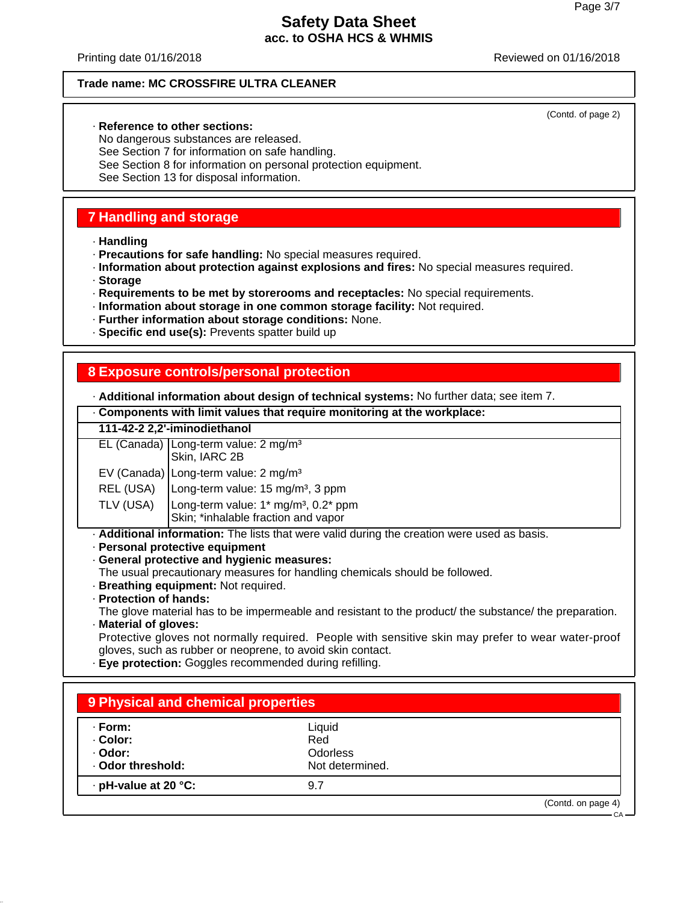(Contd. of page 2)

## **Safety Data Sheet acc. to OSHA HCS & WHMIS**

Printing date 01/16/2018 Reviewed on 01/16/2018

#### **Trade name: MC CROSSFIRE ULTRA CLEANER**

#### · **Reference to other sections:**

No dangerous substances are released. See Section 7 for information on safe handling. See Section 8 for information on personal protection equipment. See Section 13 for disposal information.

## **7 Handling and storage**

· **Handling**

· **Precautions for safe handling:** No special measures required.

· **Information about protection against explosions and fires:** No special measures required.

- · **Storage**
- · **Requirements to be met by storerooms and receptacles:** No special requirements.
- · **Information about storage in one common storage facility:** Not required.
- · **Further information about storage conditions:** None.
- · **Specific end use(s):** Prevents spatter build up

## **8 Exposure controls/personal protection**

· **Additional information about design of technical systems:** No further data; see item 7.

| <b>Additional implificition about design of technical systems.</b> The funition data, see item <i>i</i> . |                                                                                                                                |  |  |
|-----------------------------------------------------------------------------------------------------------|--------------------------------------------------------------------------------------------------------------------------------|--|--|
|                                                                                                           | . Components with limit values that require monitoring at the workplace:                                                       |  |  |
|                                                                                                           | 111-42-2 2,2'-iminodiethanol                                                                                                   |  |  |
|                                                                                                           | $EL$ (Canada)   Long-term value: 2 mg/m <sup>3</sup><br>Skin, IARC 2B                                                          |  |  |
|                                                                                                           | EV (Canada) Long-term value: $2 \text{ mg/m}^3$                                                                                |  |  |
| REL (USA)                                                                                                 | Long-term value: 15 mg/m <sup>3</sup> , 3 ppm                                                                                  |  |  |
| TLV (USA)                                                                                                 | Long-term value: $1*$ mg/m <sup>3</sup> , $0.2*$ ppm<br>Skin; *inhalable fraction and vapor                                    |  |  |
|                                                                                                           | . Additional information: The lists that were valid during the creation were used as basis.<br>- Personal protective equipment |  |  |
| · General protective and hygienic measures:                                                               |                                                                                                                                |  |  |
|                                                                                                           | The usual precautionary measures for handling chemicals should be followed.<br>· Breathing equipment: Not required.            |  |  |
| · Protection of hands:                                                                                    |                                                                                                                                |  |  |
|                                                                                                           | The glove material has to be impermeable and resistant to the product/ the substance/ the preparation.                         |  |  |

· **Material of gloves:**

Protective gloves not normally required. People with sensitive skin may prefer to wear water-proof gloves, such as rubber or neoprene, to avoid skin contact.

· **Eye protection:** Goggles recommended during refilling.

| · Form:              | Liquid          |  |
|----------------------|-----------------|--|
| · Color:             | Red             |  |
| · Odor:              | <b>Odorless</b> |  |
| · Odor threshold:    | Not determined. |  |
| · pH-value at 20 °C: | 9.7             |  |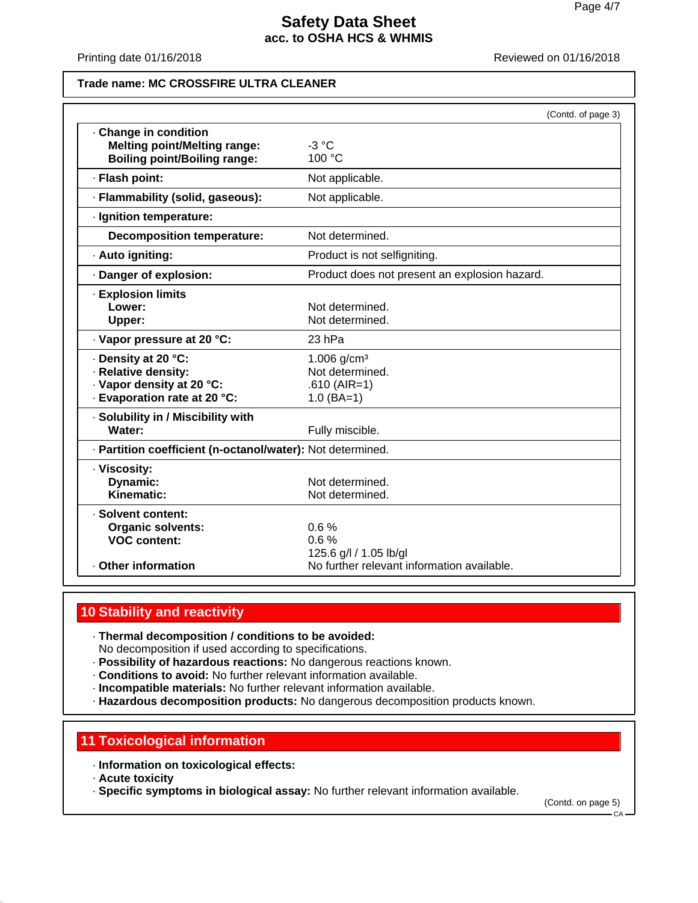Printing date 01/16/2018 **Printing date 01/16/2018** 

#### **Trade name: MC CROSSFIRE ULTRA CLEANER**

|                                                                                                         | (Contd. of page 3)                                                    |
|---------------------------------------------------------------------------------------------------------|-----------------------------------------------------------------------|
| · Change in condition<br><b>Melting point/Melting range:</b><br><b>Boiling point/Boiling range:</b>     | $-3 °C$<br>100 °C                                                     |
| · Flash point:                                                                                          | Not applicable.                                                       |
| · Flammability (solid, gaseous):                                                                        | Not applicable.                                                       |
| · Ignition temperature:                                                                                 |                                                                       |
| <b>Decomposition temperature:</b>                                                                       | Not determined.                                                       |
| · Auto igniting:                                                                                        | Product is not selfigniting.                                          |
| · Danger of explosion:                                                                                  | Product does not present an explosion hazard.                         |
| <b>Explosion limits</b><br>Lower:<br>Upper:                                                             | Not determined.<br>Not determined.                                    |
| · Vapor pressure at 20 °C:                                                                              | 23 hPa                                                                |
| · Density at 20 °C:<br>· Relative density:<br>· Vapor density at 20 °C:<br>· Evaporation rate at 20 °C: | 1.006 $g/cm^{3}$<br>Not determined.<br>$.610$ (AIR=1)<br>$1.0$ (BA=1) |
| · Solubility in / Miscibility with<br>Water:                                                            | Fully miscible.                                                       |
| · Partition coefficient (n-octanol/water): Not determined.                                              |                                                                       |
| · Viscosity:<br>Dynamic:<br>Kinematic:                                                                  | Not determined.<br>Not determined.                                    |
| · Solvent content:<br><b>Organic solvents:</b><br><b>VOC content:</b>                                   | 0.6%<br>0.6%<br>125.6 g/l / 1.05 lb/gl                                |
| <b>Other information</b>                                                                                | No further relevant information available.                            |

### **10 Stability and reactivity**

· **Thermal decomposition / conditions to be avoided:** No decomposition if used according to specifications.

- · **Possibility of hazardous reactions:** No dangerous reactions known.
- · **Conditions to avoid:** No further relevant information available.
- · **Incompatible materials:** No further relevant information available.
- · **Hazardous decomposition products:** No dangerous decomposition products known.

### **11 Toxicological information**

- · **Information on toxicological effects:**
- · **Acute toxicity**
- · **Specific symptoms in biological assay:** No further relevant information available.

(Contd. on page 5)

 $\cap$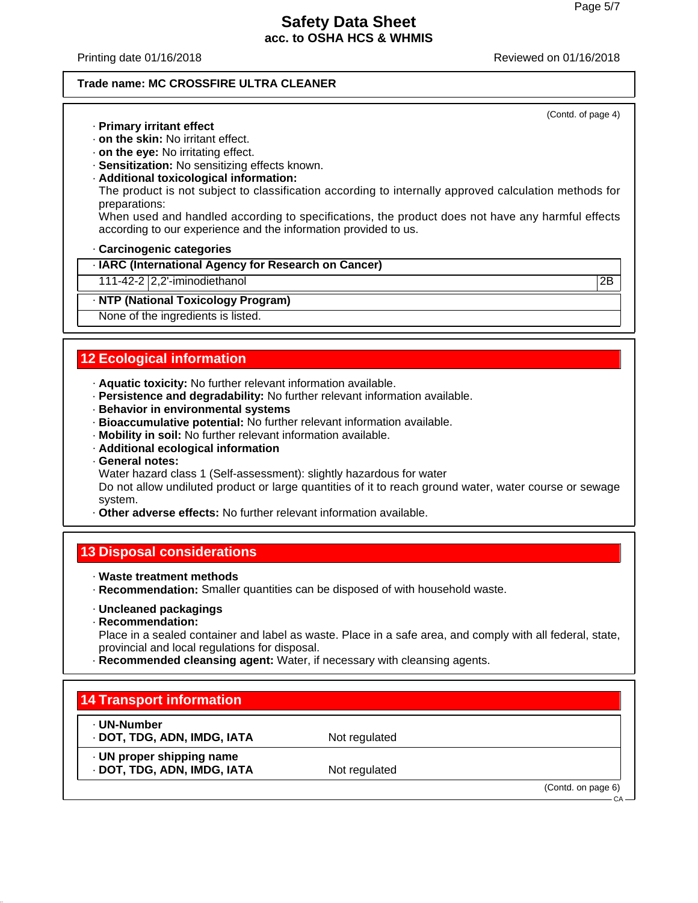(Contd. of page 4)

## **Safety Data Sheet acc. to OSHA HCS & WHMIS**

Printing date 01/16/2018 Reviewed on 01/16/2018

#### **Trade name: MC CROSSFIRE ULTRA CLEANER**

· **Primary irritant effect**

- · **on the skin:** No irritant effect.
- · **on the eye:** No irritating effect.
- · **Sensitization:** No sensitizing effects known.
- · **Additional toxicological information:**

The product is not subject to classification according to internally approved calculation methods for preparations:

When used and handled according to specifications, the product does not have any harmful effects according to our experience and the information provided to us.

· **Carcinogenic categories**

· **IARC (International Agency for Research on Cancer)**

111-42-2 2,2'-iminodiethanol 2B

#### · **NTP (National Toxicology Program)**

None of the ingredients is listed.

# **12 Ecological information**

- · **Aquatic toxicity:** No further relevant information available.
- · **Persistence and degradability:** No further relevant information available.
- · **Behavior in environmental systems**
- · **Bioaccumulative potential:** No further relevant information available.
- · **Mobility in soil:** No further relevant information available.
- · **Additional ecological information**
- · **General notes:**

Water hazard class 1 (Self-assessment): slightly hazardous for water

Do not allow undiluted product or large quantities of it to reach ground water, water course or sewage system.

· **Other adverse effects:** No further relevant information available.

#### **13 Disposal considerations**

- · **Waste treatment methods**
- · **Recommendation:** Smaller quantities can be disposed of with household waste.
- · **Uncleaned packagings**
- · **Recommendation:**

Place in a sealed container and label as waste. Place in a safe area, and comply with all federal, state, provincial and local regulations for disposal.

· **Recommended cleansing agent:** Water, if necessary with cleansing agents.

# **14 Transport information**

- · **UN-Number**
- · **DOT, TDG, ADN, IMDG, IATA** Not regulated

· **UN proper shipping name**

· **DOT, TDG, ADN, IMDG, IATA** Not regulated

(Contd. on page 6)

 $CA$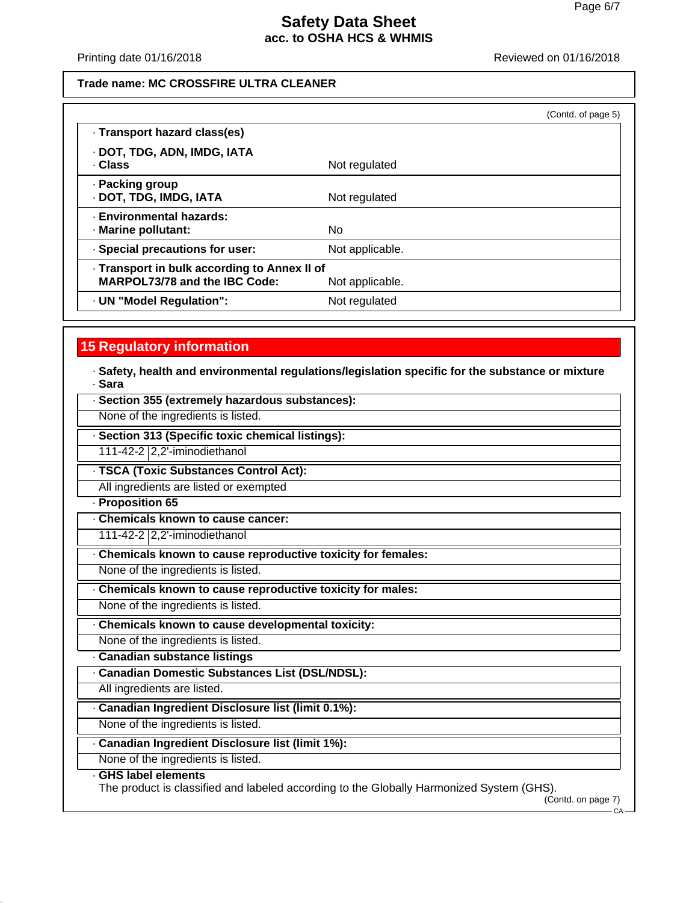Printing date 01/16/2018 **Printing date 01/16/2018** 

### **Trade name: MC CROSSFIRE ULTRA CLEANER**

|                                                                               |                 | (Contd. of page 5) |
|-------------------------------------------------------------------------------|-----------------|--------------------|
| · Transport hazard class(es)                                                  |                 |                    |
| · DOT, TDG, ADN, IMDG, IATA<br>. Class                                        | Not regulated   |                    |
| · Packing group<br>· DOT, TDG, IMDG, IATA                                     | Not regulated   |                    |
| - Environmental hazards:<br>· Marine pollutant:                               | No.             |                    |
| · Special precautions for user:                                               | Not applicable. |                    |
| - Transport in bulk according to Annex II of<br>MARPOL73/78 and the IBC Code: | Not applicable. |                    |
| · UN "Model Regulation":                                                      | Not regulated   |                    |

# **15 Regulatory information**

· **Safety, health and environmental regulations/legislation specific for the substance or mixture** · **Sara**

| · Section 355 (extremely hazardous substances):                                                                |  |  |
|----------------------------------------------------------------------------------------------------------------|--|--|
| None of the ingredients is listed.                                                                             |  |  |
| · Section 313 (Specific toxic chemical listings):                                                              |  |  |
| 111-42-2 2,2'-iminodiethanol                                                                                   |  |  |
| · TSCA (Toxic Substances Control Act):                                                                         |  |  |
| All ingredients are listed or exempted                                                                         |  |  |
| - Proposition 65                                                                                               |  |  |
| Chemicals known to cause cancer:                                                                               |  |  |
| 111-42-2 $ 2,2$ <sup>-</sup> iminodiethanol                                                                    |  |  |
| Chemicals known to cause reproductive toxicity for females:                                                    |  |  |
| None of the ingredients is listed.                                                                             |  |  |
| Chemicals known to cause reproductive toxicity for males:                                                      |  |  |
| None of the ingredients is listed.                                                                             |  |  |
| Chemicals known to cause developmental toxicity:                                                               |  |  |
| None of the ingredients is listed.                                                                             |  |  |
| · Canadian substance listings                                                                                  |  |  |
| - Canadian Domestic Substances List (DSL/NDSL):                                                                |  |  |
| All ingredients are listed.                                                                                    |  |  |
| · Canadian Ingredient Disclosure list (limit 0.1%):                                                            |  |  |
| None of the ingredients is listed.                                                                             |  |  |
| · Canadian Ingredient Disclosure list (limit 1%):                                                              |  |  |
| None of the ingredients is listed.                                                                             |  |  |
| GHS label elements<br>The product is classified and labeled according to the Globally Harmonized System (GHS). |  |  |
| (Contd. on page 7)<br>- CA –                                                                                   |  |  |